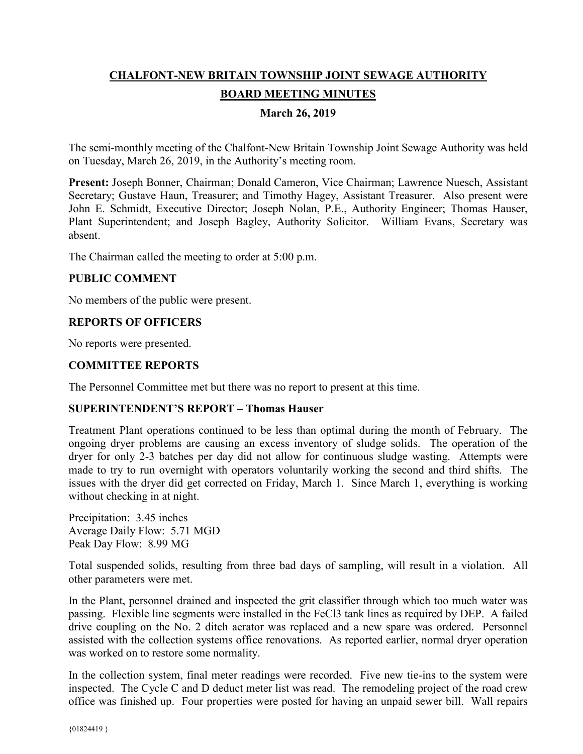# **CHALFONT-NEW BRITAIN TOWNSHIP JOINT SEWAGE AUTHORITY BOARD MEETING MINUTES**

## **March 26, 2019**

The semi-monthly meeting of the Chalfont-New Britain Township Joint Sewage Authority was held on Tuesday, March 26, 2019, in the Authority's meeting room.

**Present:** Joseph Bonner, Chairman; Donald Cameron, Vice Chairman; Lawrence Nuesch, Assistant Secretary; Gustave Haun, Treasurer; and Timothy Hagey, Assistant Treasurer. Also present were John E. Schmidt, Executive Director; Joseph Nolan, P.E., Authority Engineer; Thomas Hauser, Plant Superintendent; and Joseph Bagley, Authority Solicitor. William Evans, Secretary was absent.

The Chairman called the meeting to order at 5:00 p.m.

## **PUBLIC COMMENT**

No members of the public were present.

#### **REPORTS OF OFFICERS**

No reports were presented.

#### **COMMITTEE REPORTS**

The Personnel Committee met but there was no report to present at this time.

#### **SUPERINTENDENT'S REPORT – Thomas Hauser**

Treatment Plant operations continued to be less than optimal during the month of February. The ongoing dryer problems are causing an excess inventory of sludge solids. The operation of the dryer for only 2-3 batches per day did not allow for continuous sludge wasting. Attempts were made to try to run overnight with operators voluntarily working the second and third shifts. The issues with the dryer did get corrected on Friday, March 1. Since March 1, everything is working without checking in at night.

Precipitation: 3.45 inches Average Daily Flow: 5.71 MGD Peak Day Flow: 8.99 MG

Total suspended solids, resulting from three bad days of sampling, will result in a violation. All other parameters were met.

In the Plant, personnel drained and inspected the grit classifier through which too much water was passing. Flexible line segments were installed in the FeCl3 tank lines as required by DEP. A failed drive coupling on the No. 2 ditch aerator was replaced and a new spare was ordered. Personnel assisted with the collection systems office renovations. As reported earlier, normal dryer operation was worked on to restore some normality.

In the collection system, final meter readings were recorded. Five new tie-ins to the system were inspected. The Cycle C and D deduct meter list was read. The remodeling project of the road crew office was finished up. Four properties were posted for having an unpaid sewer bill. Wall repairs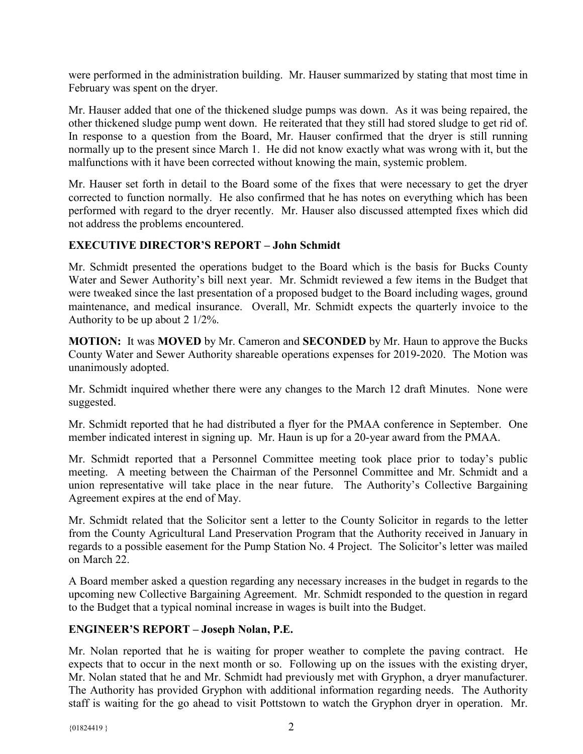were performed in the administration building. Mr. Hauser summarized by stating that most time in February was spent on the dryer.

Mr. Hauser added that one of the thickened sludge pumps was down. As it was being repaired, the other thickened sludge pump went down. He reiterated that they still had stored sludge to get rid of. In response to a question from the Board, Mr. Hauser confirmed that the dryer is still running normally up to the present since March 1. He did not know exactly what was wrong with it, but the malfunctions with it have been corrected without knowing the main, systemic problem.

Mr. Hauser set forth in detail to the Board some of the fixes that were necessary to get the dryer corrected to function normally. He also confirmed that he has notes on everything which has been performed with regard to the dryer recently. Mr. Hauser also discussed attempted fixes which did not address the problems encountered.

# **EXECUTIVE DIRECTOR'S REPORT – John Schmidt**

Mr. Schmidt presented the operations budget to the Board which is the basis for Bucks County Water and Sewer Authority's bill next year. Mr. Schmidt reviewed a few items in the Budget that were tweaked since the last presentation of a proposed budget to the Board including wages, ground maintenance, and medical insurance. Overall, Mr. Schmidt expects the quarterly invoice to the Authority to be up about 2 1/2%.

**MOTION:** It was **MOVED** by Mr. Cameron and **SECONDED** by Mr. Haun to approve the Bucks County Water and Sewer Authority shareable operations expenses for 2019-2020. The Motion was unanimously adopted.

Mr. Schmidt inquired whether there were any changes to the March 12 draft Minutes. None were suggested.

Mr. Schmidt reported that he had distributed a flyer for the PMAA conference in September. One member indicated interest in signing up. Mr. Haun is up for a 20-year award from the PMAA.

Mr. Schmidt reported that a Personnel Committee meeting took place prior to today's public meeting. A meeting between the Chairman of the Personnel Committee and Mr. Schmidt and a union representative will take place in the near future. The Authority's Collective Bargaining Agreement expires at the end of May.

Mr. Schmidt related that the Solicitor sent a letter to the County Solicitor in regards to the letter from the County Agricultural Land Preservation Program that the Authority received in January in regards to a possible easement for the Pump Station No. 4 Project. The Solicitor's letter was mailed on March 22.

A Board member asked a question regarding any necessary increases in the budget in regards to the upcoming new Collective Bargaining Agreement. Mr. Schmidt responded to the question in regard to the Budget that a typical nominal increase in wages is built into the Budget.

## **ENGINEER'S REPORT – Joseph Nolan, P.E.**

Mr. Nolan reported that he is waiting for proper weather to complete the paving contract. He expects that to occur in the next month or so. Following up on the issues with the existing dryer, Mr. Nolan stated that he and Mr. Schmidt had previously met with Gryphon, a dryer manufacturer. The Authority has provided Gryphon with additional information regarding needs. The Authority staff is waiting for the go ahead to visit Pottstown to watch the Gryphon dryer in operation. Mr.